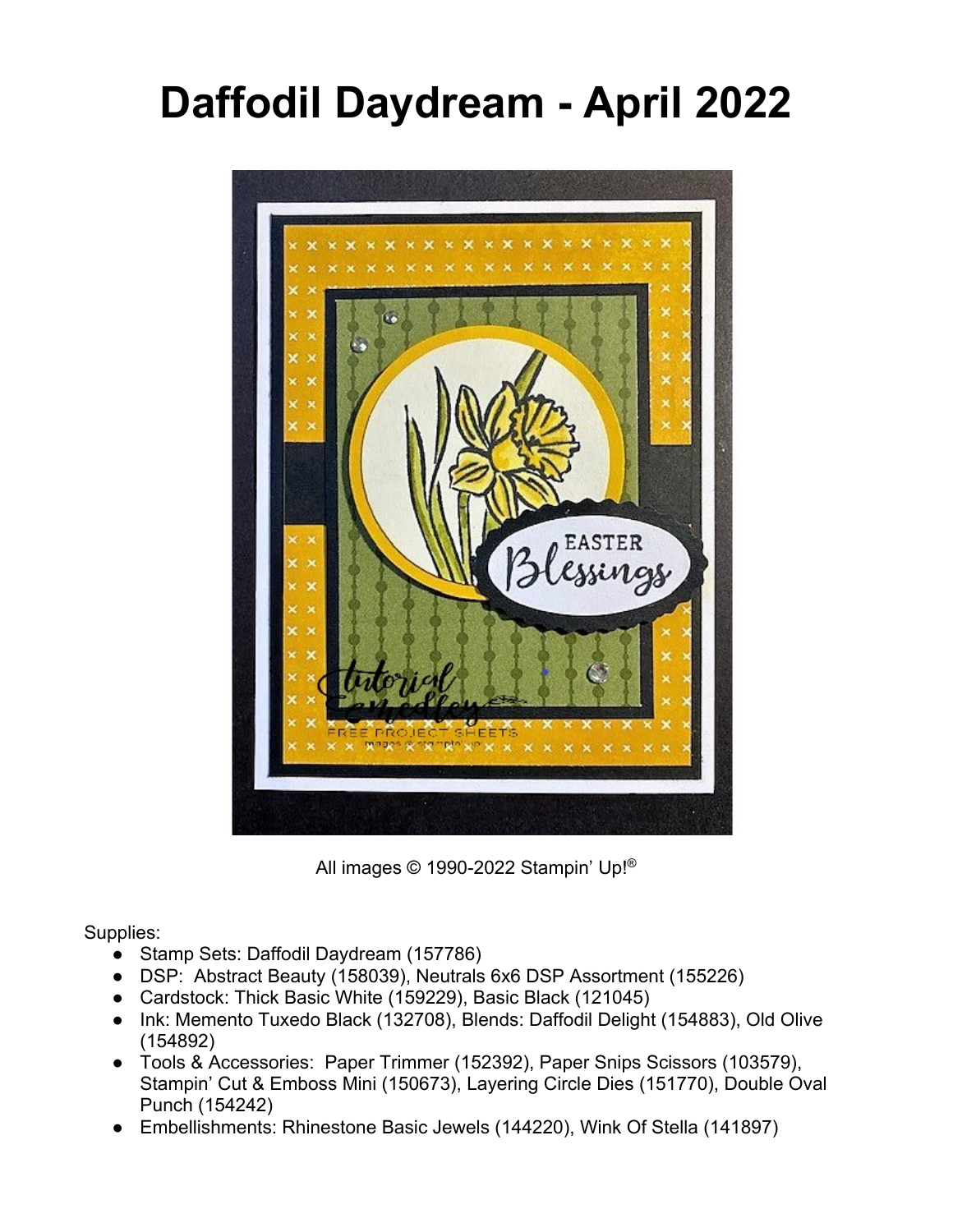## **Daffodil Daydream - April 2022**



All images © 1990-2022 Stampin' Up!®

Supplies:

- Stamp Sets: Daffodil Daydream (157786)
- DSP: Abstract Beauty (158039), Neutrals 6x6 DSP Assortment (155226)
- Cardstock: Thick Basic White (159229), Basic Black (121045)
- Ink: Memento Tuxedo Black (132708), Blends: Daffodil Delight (154883), Old Olive (154892)
- Tools & Accessories: Paper Trimmer (152392), Paper Snips Scissors (103579), Stampin' Cut & Emboss Mini (150673), Layering Circle Dies (151770), Double Oval Punch (154242)
- Embellishments: Rhinestone Basic Jewels (144220), Wink Of Stella (141897)